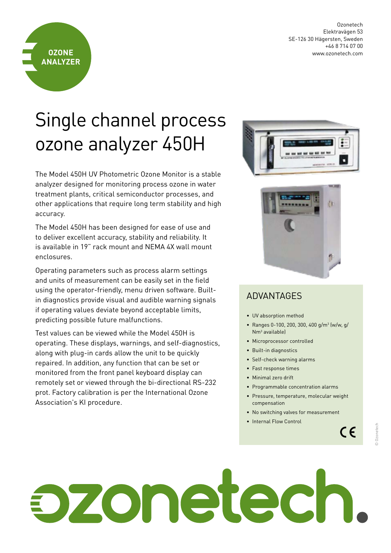Ozonetech Elektravägen 53 SE-126 30 Hägersten, Sweden +46 8 714 07 00 www.ozonetech.com



## Single channel process ozone analyzer 450H

The Model 450H UV Photometric Ozone Monitor is a stable analyzer designed for monitoring process ozone in water treatment plants, critical semiconductor processes, and other applications that require long term stability and high accuracy.

The Model 450H has been designed for ease of use and to deliver excellent accuracy, stability and reliability. It is available in 19" rack mount and NEMA 4X wall mount enclosures.

Operating parameters such as process alarm settings and units of measurement can be easily set in the field using the operator-friendly, menu driven software. Builtin diagnostics provide visual and audible warning signals if operating values deviate beyond acceptable limits, predicting possible future malfunctions.

Test values can be viewed while the Model 450H is operating. These displays, warnings, and self-diagnostics, along with plug-in cards allow the unit to be quickly repaired. In addition, any function that can be set or monitored from the front panel keyboard display can remotely set or viewed through the bi-directional RS-232 prot. Factory calibration is per the International Ozone Association's KI procedure.





## ADVANTAGES

- UV absorption method
- Ranges 0-100, 200, 300, 400 g/m<sup>3</sup> (w/w, g/ Nm3 available)
- Microprocessor controlled
- Built-in diagnostics
- Self-check warning alarms
- Fast response times
- Minimal zero drift
- Programmable concentration alarms
- Pressure, temperature, molecular weight compensation
- No switching valves for measurement
- Internal Flow Control

© Ozonetech

Ozonetech